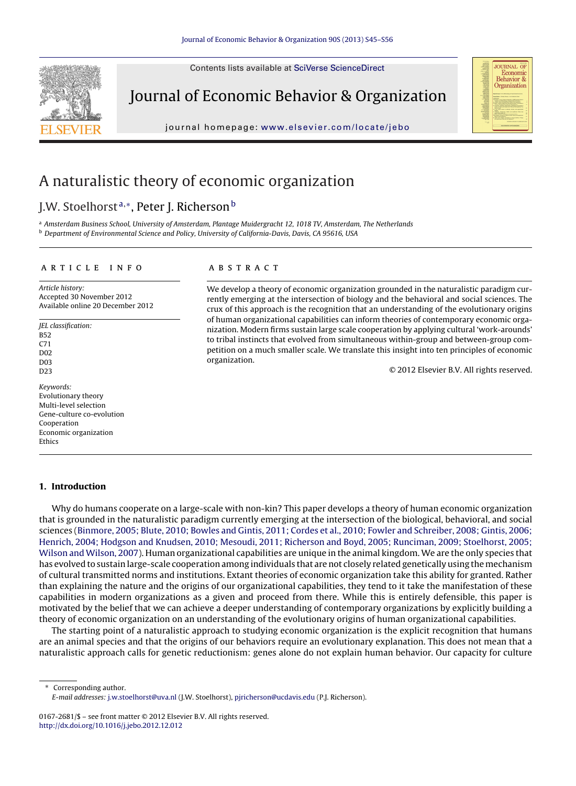Contents lists available at SciVerse ScienceDirect



Journal of Economic Behavior & Organization

journal homepage: www.elsevier.com/locate/jebo



# A naturalistic theory of economic organization

# J.W. Stoelhorst<sup>a,∗</sup>, Peter J. Richerson<sup>b</sup>

a Amsterdam Business School, University of Amsterdam, Plantage Muidergracht 12, 1018 TV, Amsterdam, The Netherlands **b** Department of Environmental Science and Policy, University of California-Davis, Davis, CA 95616, USA

#### a r t i c l e i n f o

Article history: Accepted 30 November 2012 Available online 20 December 2012

JEL classification: B52 C71 D02 D03 D23

Keywords: Evolutionary theory Multi-level selection Gene-culture co-evolution Cooperation Economic organization **Ethics** 

### **1. Introduction**

## a b s t r a c t

We develop a theory of economic organization grounded in the naturalistic paradigm currently emerging at the intersection of biology and the behavioral and social sciences. The crux of this approach is the recognition that an understanding of the evolutionary origins of human organizational capabilities can inform theories of contemporary economic organization. Modern firms sustain large scale cooperation by applying cultural 'work-arounds' to tribal instincts that evolved from simultaneous within-group and between-group competition on a much smaller scale. We translate this insight into ten principles of economic organization.

© 2012 Elsevier B.V. All rights reserved.

Why do humans cooperate on a large-scale with non-kin? This paper develops a theory of human economic organization that is grounded in the naturalistic paradigm currently emerging at the intersection of the biological, behavioral, and social sciences (Binmore, 2005; Blute, 2010; Bowles and Gintis, 2011; Cordes et al., 2010; Fowler and Schreiber, 2008; Gintis, 2006; Henrich, 2004; Hodgson and Knudsen, 2010; Mesoudi, 2011; Richerson and Boyd, 2005; Runciman, 2009; Stoelhorst, 2005; Wilson and Wilson, 2007). Human organizational capabilities are unique in the animal kingdom. We are the only species that has evolved to sustain large-scale cooperation among individuals that are not closely related genetically using themechanism of cultural transmitted norms and institutions. Extant theories of economic organization take this ability for granted. Rather than explaining the nature and the origins of our organizational capabilities, they tend to it take the manifestation of these capabilities in modern organizations as a given and proceed from there. While this is entirely defensible, this paper is motivated by the belief that we can achieve a deeper understanding of contemporary organizations by explicitly building a theory of economic organization on an understanding of the evolutionary origins of human organizational capabilities.

The starting point of a naturalistic approach to studying economic organization is the explicit recognition that humans are an animal species and that the origins of our behaviors require an evolutionary explanation. This does not mean that a naturalistic approach calls for genetic reductionism: genes alone do not explain human behavior. Our capacity for culture

Corresponding author. E-mail addresses: j.w.stoelhorst@uva.nl (J.W. Stoelhorst), pjricherson@ucdavis.edu (P.J. Richerson).

<sup>0167-2681/\$</sup> – see front matter © 2012 Elsevier B.V. All rights reserved. http://dx.doi.org/10.1016/j.jebo.2012.12.012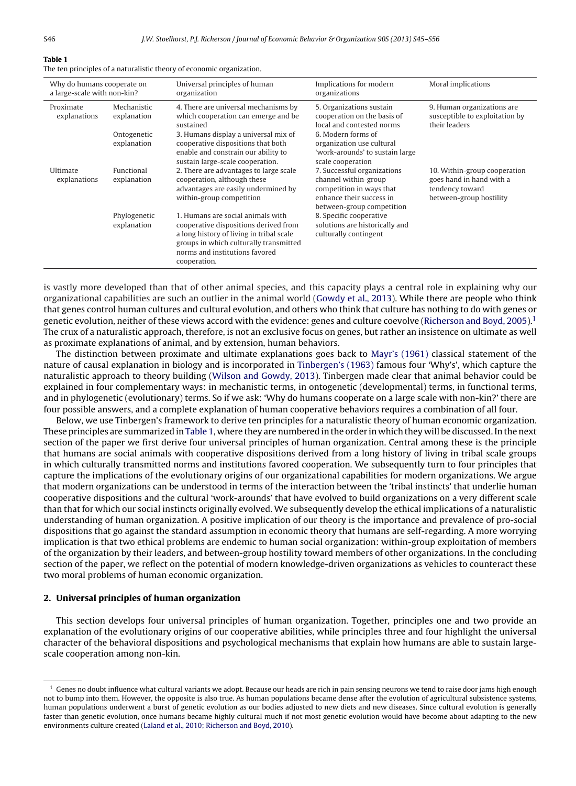#### **Table 1** The ten principles of a naturalistic theory of economic organization.

| Why do humans cooperate on<br>a large-scale with non-kin? |                             | Universal principles of human<br>organization                                                                                                                                                                      | Implications for modern<br>organizations                                                                                                 | Moral implications                                                                                     |
|-----------------------------------------------------------|-----------------------------|--------------------------------------------------------------------------------------------------------------------------------------------------------------------------------------------------------------------|------------------------------------------------------------------------------------------------------------------------------------------|--------------------------------------------------------------------------------------------------------|
| Proximate<br>explanations                                 | Mechanistic<br>explanation  | 4. There are universal mechanisms by<br>which cooperation can emerge and be<br>sustained                                                                                                                           | 5. Organizations sustain<br>cooperation on the basis of<br>local and contested norms                                                     | 9. Human organizations are<br>susceptible to exploitation by<br>their leaders                          |
|                                                           | Ontogenetic<br>explanation  | 3. Humans display a universal mix of<br>cooperative dispositions that both<br>enable and constrain our ability to<br>sustain large-scale cooperation.                                                              | 6. Modern forms of<br>organization use cultural<br>'work-arounds' to sustain large<br>scale cooperation                                  |                                                                                                        |
| Ultimate<br>explanations                                  | Functional<br>explanation   | 2. There are advantages to large scale<br>cooperation, although these<br>advantages are easily undermined by<br>within-group competition                                                                           | 7. Successful organizations<br>channel within-group<br>competition in ways that<br>enhance their success in<br>between-group competition | 10. Within-group cooperation<br>goes hand in hand with a<br>tendency toward<br>between-group hostility |
|                                                           | Phylogenetic<br>explanation | 1. Humans are social animals with<br>cooperative dispositions derived from<br>a long history of living in tribal scale<br>groups in which culturally transmitted<br>norms and institutions favored<br>cooperation. | 8. Specific cooperative<br>solutions are historically and<br>culturally contingent                                                       |                                                                                                        |

is vastly more developed than that of other animal species, and this capacity plays a central role in explaining why our organizational capabilities are such an outlier in the animal world (Gowdy et al., 2013). While there are people who think that genes control human cultures and cultural evolution, and others who think that culture has nothing to do with genes or genetic evolution, neither of these views accord with the evidence: genes and culture coevolve (Richerson and Boyd, 2005).<sup>1</sup> The crux of a naturalistic approach, therefore, is not an exclusive focus on genes, but rather an insistence on ultimate as well as proximate explanations of animal, and by extension, human behaviors.

The distinction between proximate and ultimate explanations goes back to Mayr's (1961) classical statement of the nature of causal explanation in biology and is incorporated in Tinbergen's (1963) famous four 'Why's', which capture the naturalistic approach to theory building (Wilson and Gowdy, 2013). Tinbergen made clear that animal behavior could be explained in four complementary ways: in mechanistic terms, in ontogenetic (developmental) terms, in functional terms, and in phylogenetic (evolutionary) terms. So if we ask: 'Why do humans cooperate on a large scale with non-kin?' there are four possible answers, and a complete explanation of human cooperative behaviors requires a combination of all four.

Below, we use Tinbergen's framework to derive ten principles for a naturalistic theory of human economic organization. These principles are summarized in Table 1, where they are numbered in the order in which they will be discussed. In the next section of the paper we first derive four universal principles of human organization. Central among these is the principle that humans are social animals with cooperative dispositions derived from a long history of living in tribal scale groups in which culturally transmitted norms and institutions favored cooperation. We subsequently turn to four principles that capture the implications of the evolutionary origins of our organizational capabilities for modern organizations. We argue that modern organizations can be understood in terms of the interaction between the 'tribal instincts' that underlie human cooperative dispositions and the cultural 'work-arounds' that have evolved to build organizations on a very different scale than that for which our social instincts originally evolved. We subsequently develop the ethical implications of a naturalistic understanding of human organization. A positive implication of our theory is the importance and prevalence of pro-social dispositions that go against the standard assumption in economic theory that humans are self-regarding. A more worrying implication is that two ethical problems are endemic to human social organization: within-group exploitation of members of the organization by their leaders, and between-group hostility toward members of other organizations. In the concluding section of the paper, we reflect on the potential of modern knowledge-driven organizations as vehicles to counteract these two moral problems of human economic organization.

#### **2. Universal principles of human organization**

This section develops four universal principles of human organization. Together, principles one and two provide an explanation of the evolutionary origins of our cooperative abilities, while principles three and four highlight the universal character of the behavioral dispositions and psychological mechanisms that explain how humans are able to sustain largescale cooperation among non-kin.

 $1$  Genes no doubt influence what cultural variants we adopt. Because our heads are rich in pain sensing neurons we tend to raise door jams high enough not to bump into them. However, the opposite is also true. As human populations became dense after the evolution of agricultural subsistence systems, human populations underwent a burst of genetic evolution as our bodies adjusted to new diets and new diseases. Since cultural evolution is generally faster than genetic evolution, once humans became highly cultural much if not most genetic evolution would have become about adapting to the new environments culture created (Laland et al., 2010; Richerson and Boyd, 2010).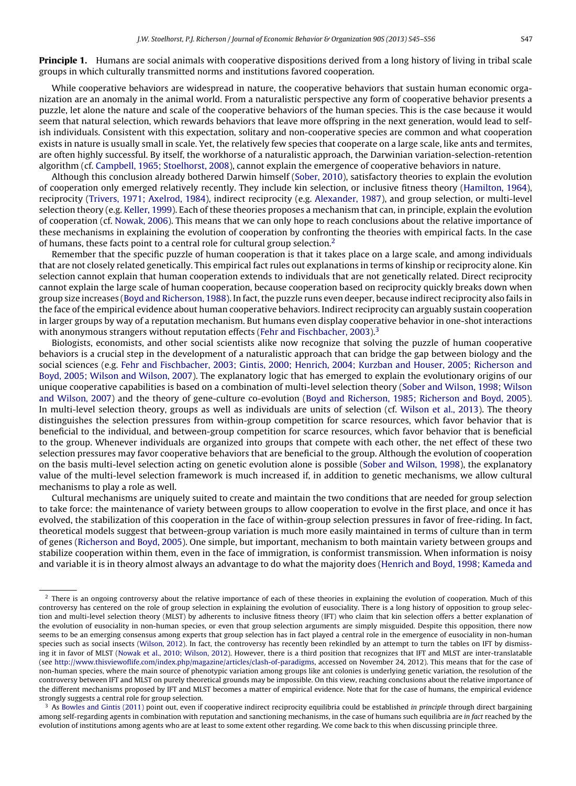**Principle 1.** Humans are social animals with cooperative dispositions derived from a long history of living in tribal scale groups in which culturally transmitted norms and institutions favored cooperation.

While cooperative behaviors are widespread in nature, the cooperative behaviors that sustain human economic organization are an anomaly in the animal world. From a naturalistic perspective any form of cooperative behavior presents a puzzle, let alone the nature and scale of the cooperative behaviors of the human species. This is the case because it would seem that natural selection, which rewards behaviors that leave more offspring in the next generation, would lead to selfish individuals. Consistent with this expectation, solitary and non-cooperative species are common and what cooperation exists in nature is usually small in scale. Yet, the relatively few species that cooperate on a large scale, like ants and termites, are often highly successful. By itself, the workhorse of a naturalistic approach, the Darwinian variation-selection-retention algorithm (cf. Campbell, 1965; Stoelhorst, 2008), cannot explain the emergence of cooperative behaviors in nature.

Although this conclusion already bothered Darwin himself (Sober, 2010), satisfactory theories to explain the evolution of cooperation only emerged relatively recently. They include kin selection, or inclusive fitness theory (Hamilton, 1964), reciprocity (Trivers, 1971; Axelrod, 1984), indirect reciprocity (e.g. Alexander, 1987), and group selection, or multi-level selection theory (e.g. Keller, 1999). Each of these theories proposes a mechanism that can, in principle, explain the evolution of cooperation (cf. Nowak, 2006). This means that we can only hope to reach conclusions about the relative importance of these mechanisms in explaining the evolution of cooperation by confronting the theories with empirical facts. In the case of humans, these facts point to a central role for cultural group selection.2

Remember that the specific puzzle of human cooperation is that it takes place on a large scale, and among individuals that are not closely related genetically. This empirical fact rules out explanations in terms of kinship or reciprocity alone. Kin selection cannot explain that human cooperation extends to individuals that are not genetically related. Direct reciprocity cannot explain the large scale of human cooperation, because cooperation based on reciprocity quickly breaks down when group size increases (Boyd and Richerson, 1988). In fact,the puzzle runs even deeper, because indirect reciprocity also fails in the face of the empirical evidence about human cooperative behaviors. Indirect reciprocity can arguably sustain cooperation in larger groups by way of a reputation mechanism. But humans even display cooperative behavior in one-shot interactions with anonymous strangers without reputation effects (Fehr and Fischbacher, 2003).<sup>3</sup>

Biologists, economists, and other social scientists alike now recognize that solving the puzzle of human cooperative behaviors is a crucial step in the development of a naturalistic approach that can bridge the gap between biology and the social sciences (e.g. Fehr and Fischbacher, 2003; Gintis, 2000; Henrich, 2004; Kurzban and Houser, 2005; Richerson and Boyd, 2005; Wilson and Wilson, 2007). The explanatory logic that has emerged to explain the evolutionary origins of our unique cooperative capabilities is based on a combination of multi-level selection theory (Sober and Wilson, 1998; Wilson and Wilson, 2007) and the theory of gene-culture co-evolution (Boyd and Richerson, 1985; Richerson and Boyd, 2005). In multi-level selection theory, groups as well as individuals are units of selection (cf. Wilson et al., 2013). The theory distinguishes the selection pressures from within-group competition for scarce resources, which favor behavior that is beneficial to the individual, and between-group competition for scarce resources, which favor behavior that is beneficial to the group. Whenever individuals are organized into groups that compete with each other, the net effect of these two selection pressures may favor cooperative behaviors that are beneficial to the group. Although the evolution of cooperation on the basis multi-level selection acting on genetic evolution alone is possible (Sober and Wilson, 1998), the explanatory value of the multi-level selection framework is much increased if, in addition to genetic mechanisms, we allow cultural mechanisms to play a role as well.

Cultural mechanisms are uniquely suited to create and maintain the two conditions that are needed for group selection to take force: the maintenance of variety between groups to allow cooperation to evolve in the first place, and once it has evolved, the stabilization of this cooperation in the face of within-group selection pressures in favor of free-riding. In fact, theoretical models suggest that between-group variation is much more easily maintained in terms of culture than in term of genes (Richerson and Boyd, 2005). One simple, but important, mechanism to both maintain variety between groups and stabilize cooperation within them, even in the face of immigration, is conformist transmission. When information is noisy and variable it is in theory almost always an advantage to do what the majority does (Henrich and Boyd, 1998; Kameda and

<sup>&</sup>lt;sup>2</sup> There is an ongoing controversy about the relative importance of each of these theories in explaining the evolution of cooperation. Much of this controversy has centered on the role of group selection in explaining the evolution of eusociality. There is a long history of opposition to group selection and multi-level selection theory (MLST) by adherents to inclusive fitness theory (IFT) who claim that kin selection offers a better explanation of the evolution of eusociality in non-human species, or even that group selection arguments are simply misguided. Despite this opposition, there now seems to be an emerging consensus among experts that group selection has in fact played a central role in the emergence of eusociality in non-human species such as social insects (Wilson, 2012). In fact, the controversy has recently been rekindled by an attempt to turn the tables on IFT by dismissing it in favor of MLST (Nowak et al., 2010; Wilson, 2012). However, there is a third position that recognizes that IFT and MLST are inter-translatable (see http://www.thisviewoflife.com/index.php/magazine/articles/clash-of-paradigms, accessed on November 24, 2012). This means that for the case of non-human species, where the main source of phenotypic variation among groups like ant colonies is underlying genetic variation, the resolution of the controversy between IFT and MLST on purely theoretical grounds may be impossible. On this view, reaching conclusions about the relative importance of the different mechanisms proposed by IFT and MLST becomes a matter of empirical evidence. Note that for the case of humans, the empirical evidence strongly suggests a central role for group selection.

 $3$  As Bowles and Gintis (2011) point out, even if cooperative indirect reciprocity equilibria could be established in principle through direct bargaining among self-regarding agents in combination with reputation and sanctioning mechanisms, in the case of humans such equilibria are in fact reached by the evolution of institutions among agents who are at least to some extent other regarding. We come back to this when discussing principle three.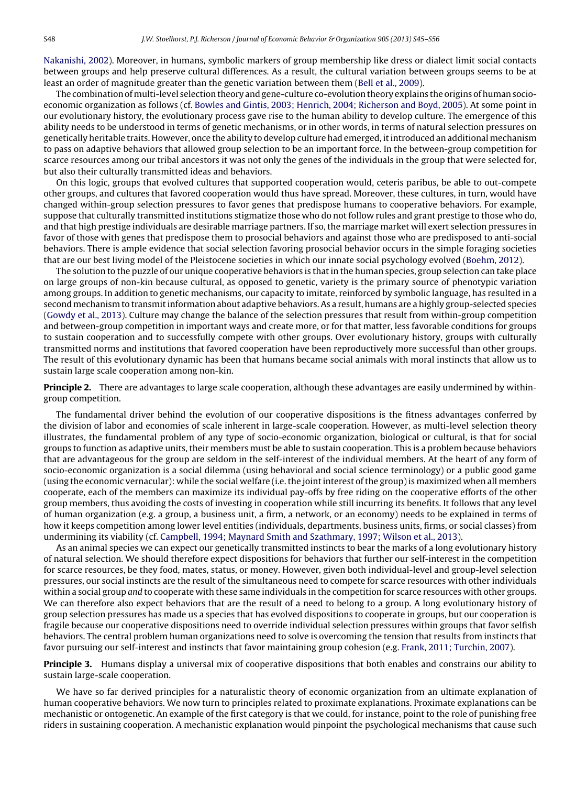Nakanishi, 2002). Moreover, in humans, symbolic markers of group membership like dress or dialect limit social contacts between groups and help preserve cultural differences. As a result, the cultural variation between groups seems to be at least an order of magnitude greater than the genetic variation between them (Bell et al., 2009).

The combination of multi-level selection theory and gene-culture co-evolution theory explains the origins of human socioeconomic organization as follows (cf. Bowles and Gintis, 2003; Henrich, 2004; Richerson and Boyd, 2005). At some point in our evolutionary history, the evolutionary process gave rise to the human ability to develop culture. The emergence of this ability needs to be understood in terms of genetic mechanisms, or in other words, in terms of natural selection pressures on genetically heritable traits. However, once the ability to develop culture had emerged, itintroduced an additional mechanism to pass on adaptive behaviors that allowed group selection to be an important force. In the between-group competition for scarce resources among our tribal ancestors it was not only the genes of the individuals in the group that were selected for, but also their culturally transmitted ideas and behaviors.

On this logic, groups that evolved cultures that supported cooperation would, ceteris paribus, be able to out-compete other groups, and cultures that favored cooperation would thus have spread. Moreover, these cultures, in turn, would have changed within-group selection pressures to favor genes that predispose humans to cooperative behaviors. For example, suppose that culturally transmitted institutions stigmatize those who do not follow rules and grant prestige to those who do, and that high prestige individuals are desirable marriage partners. If so, the marriage market will exert selection pressures in favor of those with genes that predispose them to prosocial behaviors and against those who are predisposed to anti-social behaviors. There is ample evidence that social selection favoring prosocial behavior occurs in the simple foraging societies that are our best living model of the Pleistocene societies in which our innate social psychology evolved (Boehm, 2012).

The solution to the puzzle of our unique cooperative behaviors is that in the human species, group selection can take place on large groups of non-kin because cultural, as opposed to genetic, variety is the primary source of phenotypic variation among groups. In addition to genetic mechanisms, our capacity to imitate, reinforced by symbolic language, has resulted in a second mechanism to transmitinformation about adaptive behaviors. As a result, humans are a highly group-selected species (Gowdy et al., 2013). Culture may change the balance of the selection pressures that result from within-group competition and between-group competition in important ways and create more, or for that matter, less favorable conditions for groups to sustain cooperation and to successfully compete with other groups. Over evolutionary history, groups with culturally transmitted norms and institutions that favored cooperation have been reproductively more successful than other groups. The result of this evolutionary dynamic has been that humans became social animals with moral instincts that allow us to sustain large scale cooperation among non-kin.

**Principle 2.** There are advantages to large scale cooperation, although these advantages are easily undermined by withingroup competition.

The fundamental driver behind the evolution of our cooperative dispositions is the fitness advantages conferred by the division of labor and economies of scale inherent in large-scale cooperation. However, as multi-level selection theory illustrates, the fundamental problem of any type of socio-economic organization, biological or cultural, is that for social groups to function as adaptive units, their members must be able to sustain cooperation. This is a problem because behaviors that are advantageous for the group are seldom in the self-interest of the individual members. At the heart of any form of socio-economic organization is a social dilemma (using behavioral and social science terminology) or a public good game (using the economic vernacular): while the social welfare (i.e.the jointinterest ofthe group)is maximized when all members cooperate, each of the members can maximize its individual pay-offs by free riding on the cooperative efforts of the other group members, thus avoiding the costs of investing in cooperation while still incurring its benefits. It follows that any level of human organization (e.g. a group, a business unit, a firm, a network, or an economy) needs to be explained in terms of how it keeps competition among lower level entities (individuals, departments, business units, firms, or social classes) from undermining its viability (cf. Campbell, 1994; Maynard Smith and Szathmary, 1997; Wilson et al., 2013).

As an animal species we can expect our genetically transmitted instincts to bear the marks of a long evolutionary history of natural selection. We should therefore expect dispositions for behaviors that further our self-interest in the competition for scarce resources, be they food, mates, status, or money. However, given both individual-level and group-level selection pressures, our social instincts are the result of the simultaneous need to compete for scarce resources with other individuals within a social group and to cooperate with these same individuals in the competition for scarce resources with other groups. We can therefore also expect behaviors that are the result of a need to belong to a group. A long evolutionary history of group selection pressures has made us a species that has evolved dispositions to cooperate in groups, but our cooperation is fragile because our cooperative dispositions need to override individual selection pressures within groups that favor selfish behaviors. The central problem human organizations need to solve is overcoming the tension that results from instincts that favor pursuing our self-interest and instincts that favor maintaining group cohesion (e.g. Frank, 2011; Turchin, 2007).

**Principle 3.** Humans display a universal mix of cooperative dispositions that both enables and constrains our ability to sustain large-scale cooperation.

We have so far derived principles for a naturalistic theory of economic organization from an ultimate explanation of human cooperative behaviors. We now turn to principles related to proximate explanations. Proximate explanations can be mechanistic or ontogenetic. An example of the first category is that we could, for instance, point to the role of punishing free riders in sustaining cooperation. A mechanistic explanation would pinpoint the psychological mechanisms that cause such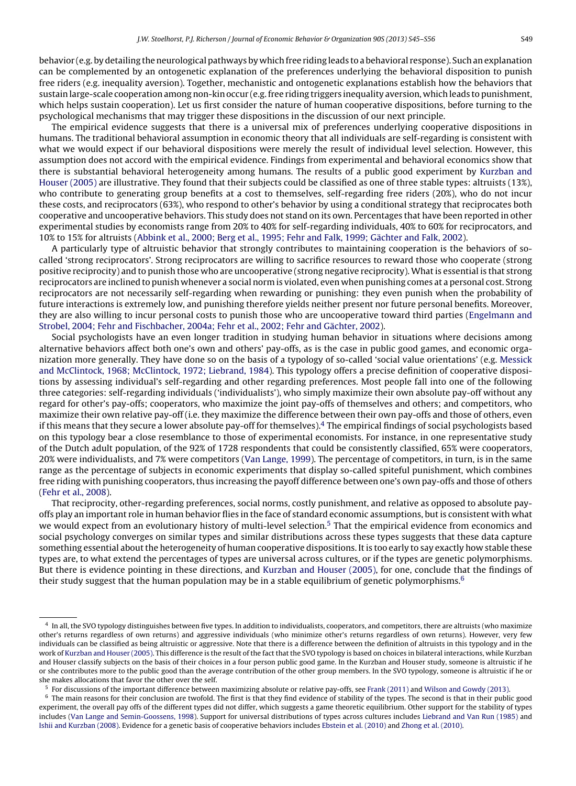behavior (e.g. by detailing the neurological pathways by which free riding leads to a behavioral response). Such an explanation can be complemented by an ontogenetic explanation of the preferences underlying the behavioral disposition to punish free riders (e.g. inequality aversion). Together, mechanistic and ontogenetic explanations establish how the behaviors that sustain large-scale cooperation among non-kin occur (e.g.free riding triggers inequality aversion, which leads to punishment, which helps sustain cooperation). Let us first consider the nature of human cooperative dispositions, before turning to the psychological mechanisms that may trigger these dispositions in the discussion of our next principle.

The empirical evidence suggests that there is a universal mix of preferences underlying cooperative dispositions in humans. The traditional behavioral assumption in economic theory that all individuals are self-regarding is consistent with what we would expect if our behavioral dispositions were merely the result of individual level selection. However, this assumption does not accord with the empirical evidence. Findings from experimental and behavioral economics show that there is substantial behavioral heterogeneity among humans. The results of a public good experiment by Kurzban and Houser (2005) are illustrative. They found that their subjects could be classified as one of three stable types: altruists (13%), who contribute to generating group benefits at a cost to themselves, self-regarding free riders (20%), who do not incur these costs, and reciprocators (63%), who respond to other's behavior by using a conditional strategy that reciprocates both cooperative and uncooperative behaviors. This study does not stand on its own. Percentages that have been reported in other experimental studies by economists range from 20% to 40% for self-regarding individuals, 40% to 60% for reciprocators, and 10% to 15% for altruists (Abbink et al., 2000; Berg et al., 1995; Fehr and Falk, 1999; Gächter and Falk, 2002).

A particularly type of altruistic behavior that strongly contributes to maintaining cooperation is the behaviors of socalled 'strong reciprocators'. Strong reciprocators are willing to sacrifice resources to reward those who cooperate (strong positive reciprocity) and to punish those who are uncooperative (strong negative reciprocity). Whatis essential is that strong reciprocators are inclined to punish whenever a social norm is violated, even when punishing comes at a personal cost. Strong reciprocators are not necessarily self-regarding when rewarding or punishing: they even punish when the probability of future interactions is extremely low, and punishing therefore yields neither present nor future personal benefits. Moreover, they are also willing to incur personal costs to punish those who are uncooperative toward third parties (Engelmann and Strobel, 2004; Fehr and Fischbacher, 2004a; Fehr et al., 2002; Fehr and Gächter, 2002).

Social psychologists have an even longer tradition in studying human behavior in situations where decisions among alternative behaviors affect both one's own and others' pay-offs, as is the case in public good games, and economic organization more generally. They have done so on the basis of a typology of so-called 'social value orientations' (e.g. Messick and McClintock, 1968; McClintock, 1972; Liebrand, 1984). This typology offers a precise definition of cooperative dispositions by assessing individual's self-regarding and other regarding preferences. Most people fall into one of the following three categories: self-regarding individuals ('individualists'), who simply maximize their own absolute pay-off without any regard for other's pay-offs; cooperators, who maximize the joint pay-offs of themselves and others; and competitors, who maximize their own relative pay-off (i.e. they maximize the difference between their own pay-offs and those of others, even if this means that they secure a lower absolute pay-off for themselves).4 The empirical findings of social psychologists based on this typology bear a close resemblance to those of experimental economists. For instance, in one representative study of the Dutch adult population, of the 92% of 1728 respondents that could be consistently classified, 65% were cooperators, 20% were individualists, and 7% were competitors (Van Lange, 1999). The percentage of competitors, in turn, is in the same range as the percentage of subjects in economic experiments that display so-called spiteful punishment, which combines free riding with punishing cooperators, thus increasing the payoff difference between one's own pay-offs and those of others (Fehr et al., 2008).

That reciprocity, other-regarding preferences, social norms, costly punishment, and relative as opposed to absolute payoffs play an important role in human behavior flies in the face of standard economic assumptions, butis consistent with what we would expect from an evolutionary history of multi-level selection.<sup>5</sup> That the empirical evidence from economics and social psychology converges on similar types and similar distributions across these types suggests that these data capture something essential about the heterogeneity of human cooperative dispositions. It is too early to say exactly how stable these types are, to what extend the percentages of types are universal across cultures, or if the types are genetic polymorphisms. But there is evidence pointing in these directions, and Kurzban and Houser (2005), for one, conclude that the findings of their study suggest that the human population may be in a stable equilibrium of genetic polymorphisms.6

<sup>&</sup>lt;sup>4</sup> In all, the SVO typology distinguishes between five types. In addition to individualists, cooperators, and competitors, there are altruists (who maximize other's returns regardless of own returns) and aggressive individuals (who minimize other's returns regardless of own returns). However, very few individuals can be classified as being altruistic or aggressive. Note that there is a difference between the definition of altruists in this typology and in the work of Kurzban and Houser (2005). This difference is the result of the fact that the SVO typology is based on choices in bilateral interactions, while Kurzban and Houser classify subjects on the basis of their choices in a four person public good game. In the Kurzban and Houser study, someone is altruistic if he or she contributes more to the public good than the average contribution of the other group members. In the SVO typology, someone is altruistic if he or she makes allocations that favor the other over the self.

<sup>5</sup> For discussions of the important difference between maximizing absolute or relative pay-offs, see Frank (2011) and Wilson and Gowdy (2013).

 $6$  The main reasons for their conclusion are twofold. The first is that they find evidence of stability of the types. The second is that in their public good experiment, the overall pay offs of the different types did not differ, which suggests a game theoretic equilibrium. Other support for the stability of types includes (Van Lange and Semin-Goossens, 1998). Support for universal distributions of types across cultures includes Liebrand and Van Run (1985) and Ishii and Kurzban (2008). Evidence for a genetic basis of cooperative behaviors includes Ebstein et al. (2010) and Zhong et al. (2010).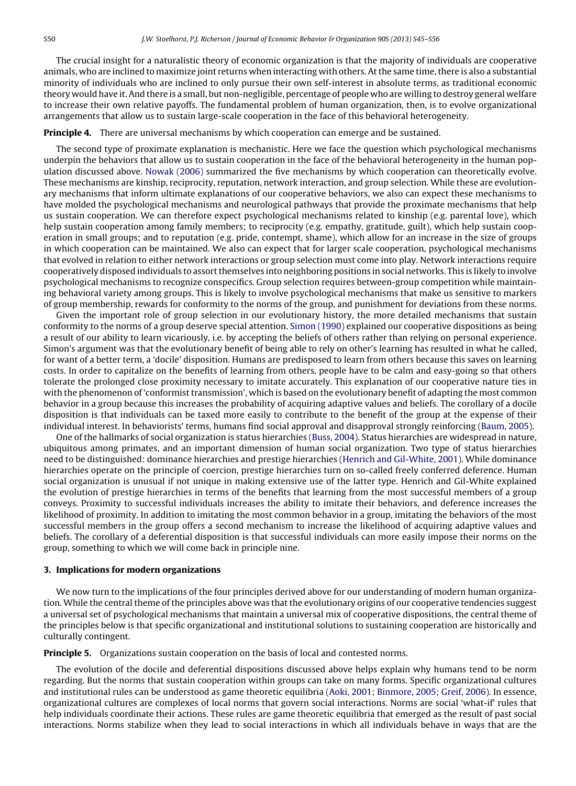The crucial insight for a naturalistic theory of economic organization is that the majority of individuals are cooperative animals, who are inclined to maximize joint returns when interacting with others. At the same time, there is also a substantial minority of individuals who are inclined to only pursue their own self-interest in absolute terms, as traditional economic theory would have it. And there is a small, but non-negligible, percentage of people who are willing to destroy general welfare to increase their own relative payoffs. The fundamental problem of human organization, then, is to evolve organizational arrangements that allow us to sustain large-scale cooperation in the face of this behavioral heterogeneity.

#### **Principle 4.** There are universal mechanisms by which cooperation can emerge and be sustained.

The second type of proximate explanation is mechanistic. Here we face the question which psychological mechanisms underpin the behaviors that allow us to sustain cooperation in the face of the behavioral heterogeneity in the human population discussed above. Nowak (2006) summarized the five mechanisms by which cooperation can theoretically evolve. These mechanisms are kinship, reciprocity, reputation, network interaction, and group selection. While these are evolutionary mechanisms that inform ultimate explanations of our cooperative behaviors, we also can expect these mechanisms to have molded the psychological mechanisms and neurological pathways that provide the proximate mechanisms that help us sustain cooperation. We can therefore expect psychological mechanisms related to kinship (e.g. parental love), which help sustain cooperation among family members; to reciprocity (e.g. empathy, gratitude, guilt), which help sustain cooperation in small groups; and to reputation (e.g. pride, contempt, shame), which allow for an increase in the size of groups in which cooperation can be maintained. We also can expect that for larger scale cooperation, psychological mechanisms that evolved in relation to either network interactions or group selection must come into play. Network interactions require cooperatively disposed individuals to assort themselves into neighboring positions in social networks. This is likely to involve psychological mechanisms to recognize conspecifics. Group selection requires between-group competition while maintaining behavioral variety among groups. This is likely to involve psychological mechanisms that make us sensitive to markers of group membership, rewards for conformity to the norms of the group, and punishment for deviations from these norms.

Given the important role of group selection in our evolutionary history, the more detailed mechanisms that sustain conformity to the norms of a group deserve special attention. Simon (1990) explained our cooperative dispositions as being a result of our ability to learn vicariously, i.e. by accepting the beliefs of others rather than relying on personal experience. Simon's argument was that the evolutionary benefit of being able to rely on other's learning has resulted in what he called, for want of a better term, a 'docile' disposition. Humans are predisposed to learn from others because this saves on learning costs. In order to capitalize on the benefits of learning from others, people have to be calm and easy-going so that others tolerate the prolonged close proximity necessary to imitate accurately. This explanation of our cooperative nature ties in with the phenomenon of 'conformisttransmission', which is based on the evolutionary benefit of adapting the most common behavior in a group because this increases the probability of acquiring adaptive values and beliefs. The corollary of a docile disposition is that individuals can be taxed more easily to contribute to the benefit of the group at the expense of their individual interest. In behaviorists' terms, humans find social approval and disapproval strongly reinforcing (Baum, 2005).

One of the hallmarks of social organization is status hierarchies (Buss, 2004). Status hierarchies are widespread in nature, ubiquitous among primates, and an important dimension of human social organization. Two type of status hierarchies need to be distinguished: dominance hierarchies and prestige hierarchies (Henrich and Gil-White, 2001). While dominance hierarchies operate on the principle of coercion, prestige hierarchies turn on so-called freely conferred deference. Human social organization is unusual if not unique in making extensive use of the latter type. Henrich and Gil-White explained the evolution of prestige hierarchies in terms of the benefits that learning from the most successful members of a group conveys. Proximity to successful individuals increases the ability to imitate their behaviors, and deference increases the likelihood of proximity. In addition to imitating the most common behavior in a group, imitating the behaviors of the most successful members in the group offers a second mechanism to increase the likelihood of acquiring adaptive values and beliefs. The corollary of a deferential disposition is that successful individuals can more easily impose their norms on the group, something to which we will come back in principle nine.

#### **3. Implications for modern organizations**

We now turn to the implications of the four principles derived above for our understanding of modern human organization. While the central theme of the principles above was that the evolutionary origins of our cooperative tendencies suggest a universal set of psychological mechanisms that maintain a universal mix of cooperative dispositions, the central theme of the principles below is that specific organizational and institutional solutions to sustaining cooperation are historically and culturally contingent.

#### **Principle 5.** Organizations sustain cooperation on the basis of local and contested norms.

The evolution of the docile and deferential dispositions discussed above helps explain why humans tend to be norm regarding. But the norms that sustain cooperation within groups can take on many forms. Specific organizational cultures and institutional rules can be understood as game theoretic equilibria (Aoki, 2001; Binmore, 2005; Greif, 2006). In essence, organizational cultures are complexes of local norms that govern social interactions. Norms are social 'what-if' rules that help individuals coordinate their actions. These rules are game theoretic equilibria that emerged as the result of past social interactions. Norms stabilize when they lead to social interactions in which all individuals behave in ways that are the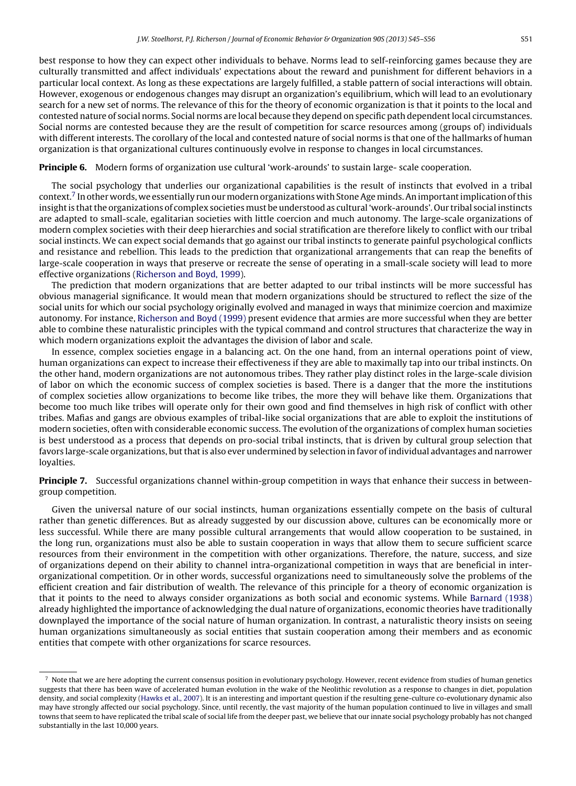best response to how they can expect other individuals to behave. Norms lead to self-reinforcing games because they are culturally transmitted and affect individuals' expectations about the reward and punishment for different behaviors in a particular local context. As long as these expectations are largely fulfilled, a stable pattern of social interactions will obtain. However, exogenous or endogenous changes may disrupt an organization's equilibrium, which will lead to an evolutionary search for a new set of norms. The relevance of this for the theory of economic organization is that it points to the local and contested nature of social norms. Social norms are local because they depend on specific path dependent local circumstances. Social norms are contested because they are the result of competition for scarce resources among (groups of) individuals with different interests. The corollary of the local and contested nature of social norms is that one of the hallmarks of human organization is that organizational cultures continuously evolve in response to changes in local circumstances.

**Principle 6.** Modern forms of organization use cultural 'work-arounds' to sustain large- scale cooperation.

The social psychology that underlies our organizational capabilities is the result of instincts that evolved in a tribal context.<sup>7</sup> In other words, we essentially run our modern organizations with Stone Age minds. An important implication of this insight is that the organizations of complex societies must be understood as cultural 'work-arounds'. Our tribal social instincts are adapted to small-scale, egalitarian societies with little coercion and much autonomy. The large-scale organizations of modern complex societies with their deep hierarchies and social stratification are therefore likely to conflict with our tribal social instincts. We can expect social demands that go against our tribal instincts to generate painful psychological conflicts and resistance and rebellion. This leads to the prediction that organizational arrangements that can reap the benefits of large-scale cooperation in ways that preserve or recreate the sense of operating in a small-scale society will lead to more effective organizations (Richerson and Boyd, 1999).

The prediction that modern organizations that are better adapted to our tribal instincts will be more successful has obvious managerial significance. It would mean that modern organizations should be structured to reflect the size of the social units for which our social psychology originally evolved and managed in ways that minimize coercion and maximize autonomy. For instance, Richerson and Boyd (1999) present evidence that armies are more successful when they are better able to combine these naturalistic principles with the typical command and control structures that characterize the way in which modern organizations exploit the advantages the division of labor and scale.

In essence, complex societies engage in a balancing act. On the one hand, from an internal operations point of view, human organizations can expect to increase their effectiveness if they are able to maximally tap into our tribal instincts. On the other hand, modern organizations are not autonomous tribes. They rather play distinct roles in the large-scale division of labor on which the economic success of complex societies is based. There is a danger that the more the institutions of complex societies allow organizations to become like tribes, the more they will behave like them. Organizations that become too much like tribes will operate only for their own good and find themselves in high risk of conflict with other tribes. Mafias and gangs are obvious examples of tribal-like social organizations that are able to exploit the institutions of modern societies, often with considerable economic success. The evolution of the organizations of complex human societies is best understood as a process that depends on pro-social tribal instincts, that is driven by cultural group selection that favors large-scale organizations, but that is also ever undermined by selection in favor of individual advantages and narrower loyalties.

**Principle 7.** Successful organizations channel within-group competition in ways that enhance their success in betweengroup competition.

Given the universal nature of our social instincts, human organizations essentially compete on the basis of cultural rather than genetic differences. But as already suggested by our discussion above, cultures can be economically more or less successful. While there are many possible cultural arrangements that would allow cooperation to be sustained, in the long run, organizations must also be able to sustain cooperation in ways that allow them to secure sufficient scarce resources from their environment in the competition with other organizations. Therefore, the nature, success, and size of organizations depend on their ability to channel intra-organizational competition in ways that are beneficial in interorganizational competition. Or in other words, successful organizations need to simultaneously solve the problems of the efficient creation and fair distribution of wealth. The relevance of this principle for a theory of economic organization is that it points to the need to always consider organizations as both social and economic systems. While Barnard (1938) already highlighted the importance of acknowledging the dual nature of organizations, economic theories have traditionally downplayed the importance of the social nature of human organization. In contrast, a naturalistic theory insists on seeing human organizations simultaneously as social entities that sustain cooperation among their members and as economic entities that compete with other organizations for scarce resources.

 $^7$  Note that we are here adopting the current consensus position in evolutionary psychology. However, recent evidence from studies of human genetics suggests that there has been wave of accelerated human evolution in the wake of the Neolithic revolution as a response to changes in diet, population density, and social complexity (Hawks et al., 2007). It is an interesting and important question if the resulting gene-culture co-evolutionary dynamic also may have strongly affected our social psychology. Since, until recently, the vast majority of the human population continued to live in villages and small towns that seem to have replicated the tribal scale of social life from the deeper past, we believe that our innate social psychology probably has not changed substantially in the last 10,000 years.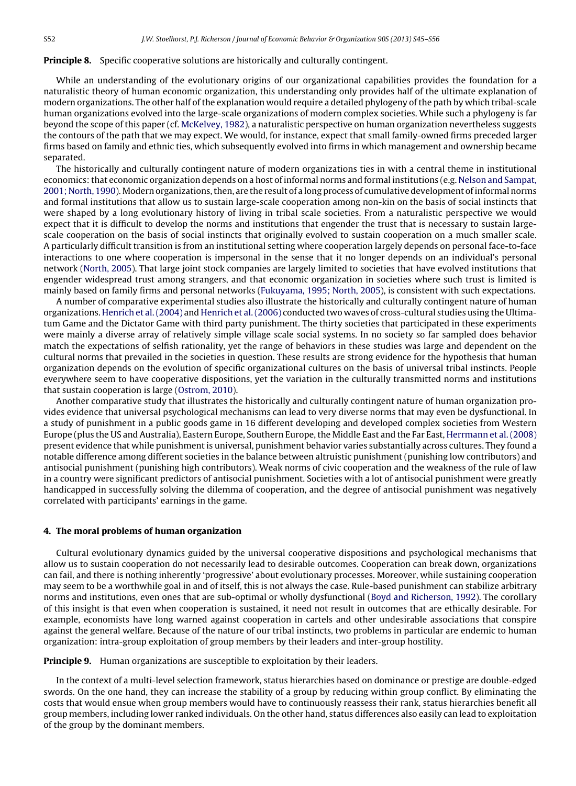#### **Principle 8.** Specific cooperative solutions are historically and culturally contingent.

While an understanding of the evolutionary origins of our organizational capabilities provides the foundation for a naturalistic theory of human economic organization, this understanding only provides half of the ultimate explanation of modern organizations. The other half ofthe explanation would require a detailed phylogeny ofthe path by which tribal-scale human organizations evolved into the large-scale organizations of modern complex societies. While such a phylogeny is far beyond the scope of this paper (cf. McKelvey, 1982), a naturalistic perspective on human organization nevertheless suggests the contours of the path that we may expect. We would, for instance, expect that small family-owned firms preceded larger firms based on family and ethnic ties, which subsequently evolved into firms in which management and ownership became separated.

The historically and culturally contingent nature of modern organizations ties in with a central theme in institutional economics: that economic organization depends on a host of informal norms and formal institutions (e.g. Nelson and Sampat, 2001; North, 1990). Modern organizations, then, are the result of a long process of cumulative development of informal norms and formal institutions that allow us to sustain large-scale cooperation among non-kin on the basis of social instincts that were shaped by a long evolutionary history of living in tribal scale societies. From a naturalistic perspective we would expect that it is difficult to develop the norms and institutions that engender the trust that is necessary to sustain largescale cooperation on the basis of social instincts that originally evolved to sustain cooperation on a much smaller scale. A particularly difficult transition is from an institutional setting where cooperation largely depends on personal face-to-face interactions to one where cooperation is impersonal in the sense that it no longer depends on an individual's personal network (North, 2005). That large joint stock companies are largely limited to societies that have evolved institutions that engender widespread trust among strangers, and that economic organization in societies where such trust is limited is mainly based on family firms and personal networks (Fukuyama, 1995; North, 2005), is consistent with such expectations.

A number of comparative experimental studies also illustrate the historically and culturally contingent nature of human organizations. Henrich et al.(2004) and Henrich et al.(2006) conducted two waves of cross-cultural studies using the Ultimatum Game and the Dictator Game with third party punishment. The thirty societies that participated in these experiments were mainly a diverse array of relatively simple village scale social systems. In no society so far sampled does behavior match the expectations of selfish rationality, yet the range of behaviors in these studies was large and dependent on the cultural norms that prevailed in the societies in question. These results are strong evidence for the hypothesis that human organization depends on the evolution of specific organizational cultures on the basis of universal tribal instincts. People everywhere seem to have cooperative dispositions, yet the variation in the culturally transmitted norms and institutions that sustain cooperation is large (Ostrom, 2010).

Another comparative study that illustrates the historically and culturally contingent nature of human organization provides evidence that universal psychological mechanisms can lead to very diverse norms that may even be dysfunctional. In a study of punishment in a public goods game in 16 different developing and developed complex societies from Western Europe (plus the US and Australia), Eastern Europe, Southern Europe, the Middle East and the Far East, Herrmann et al. (2008) present evidence that while punishment is universal, punishment behavior varies substantially across cultures. They found a notable difference among different societies in the balance between altruistic punishment (punishing low contributors) and antisocial punishment (punishing high contributors). Weak norms of civic cooperation and the weakness of the rule of law in a country were significant predictors of antisocial punishment. Societies with a lot of antisocial punishment were greatly handicapped in successfully solving the dilemma of cooperation, and the degree of antisocial punishment was negatively correlated with participants' earnings in the game.

#### **4. The moral problems of human organization**

Cultural evolutionary dynamics guided by the universal cooperative dispositions and psychological mechanisms that allow us to sustain cooperation do not necessarily lead to desirable outcomes. Cooperation can break down, organizations can fail, and there is nothing inherently 'progressive' about evolutionary processes. Moreover, while sustaining cooperation may seem to be a worthwhile goal in and of itself, this is not always the case. Rule-based punishment can stabilize arbitrary norms and institutions, even ones that are sub-optimal or wholly dysfunctional (Boyd and Richerson, 1992). The corollary of this insight is that even when cooperation is sustained, it need not result in outcomes that are ethically desirable. For example, economists have long warned against cooperation in cartels and other undesirable associations that conspire against the general welfare. Because of the nature of our tribal instincts, two problems in particular are endemic to human organization: intra-group exploitation of group members by their leaders and inter-group hostility.

**Principle 9.** Human organizations are susceptible to exploitation by their leaders.

In the context of a multi-level selection framework, status hierarchies based on dominance or prestige are double-edged swords. On the one hand, they can increase the stability of a group by reducing within group conflict. By eliminating the costs that would ensue when group members would have to continuously reassess their rank, status hierarchies benefit all group members, including lower ranked individuals. On the other hand, status differences also easily can lead to exploitation of the group by the dominant members.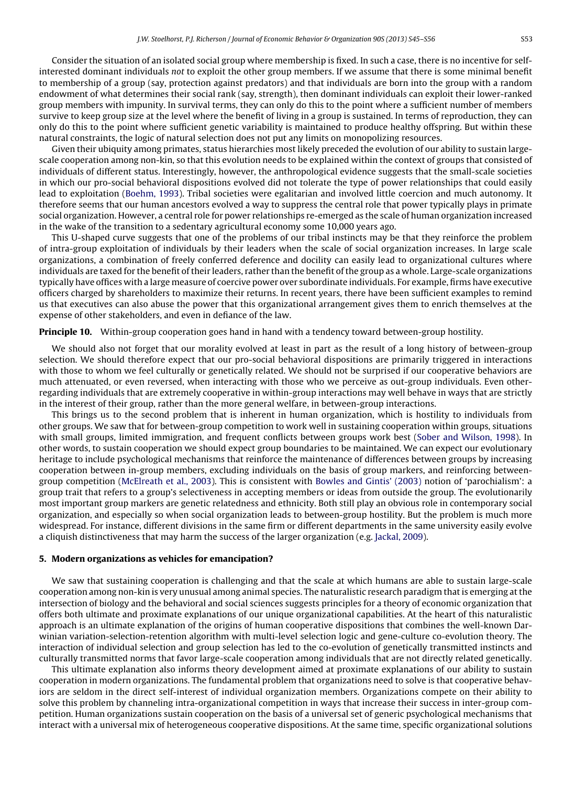Consider the situation of an isolated social group where membership is fixed. In such a case, there is no incentive for selfinterested dominant individuals not to exploit the other group members. If we assume that there is some minimal benefit to membership of a group (say, protection against predators) and that individuals are born into the group with a random endowment of what determines their social rank (say, strength), then dominant individuals can exploit their lower-ranked group members with impunity. In survival terms, they can only do this to the point where a sufficient number of members survive to keep group size at the level where the benefit of living in a group is sustained. In terms of reproduction, they can only do this to the point where sufficient genetic variability is maintained to produce healthy offspring. But within these natural constraints, the logic of natural selection does not put any limits on monopolizing resources.

Given their ubiquity among primates, status hierarchies most likely preceded the evolution of our ability to sustain largescale cooperation among non-kin, so that this evolution needs to be explained within the context of groups that consisted of individuals of different status. Interestingly, however, the anthropological evidence suggests that the small-scale societies in which our pro-social behavioral dispositions evolved did not tolerate the type of power relationships that could easily lead to exploitation (Boehm, 1993). Tribal societies were egalitarian and involved little coercion and much autonomy. It therefore seems that our human ancestors evolved a way to suppress the central role that power typically plays in primate social organization. However, a central role for power relationships re-emerged as the scale of human organization increased in the wake of the transition to a sedentary agricultural economy some 10,000 years ago.

This U-shaped curve suggests that one of the problems of our tribal instincts may be that they reinforce the problem of intra-group exploitation of individuals by their leaders when the scale of social organization increases. In large scale organizations, a combination of freely conferred deference and docility can easily lead to organizational cultures where individuals are taxed for the benefit oftheir leaders, rather than the benefit ofthe group as a whole. Large-scale organizations typically have offices with a large measure of coercive power over subordinate individuals. For example, firms have executive officers charged by shareholders to maximize their returns. In recent years, there have been sufficient examples to remind us that executives can also abuse the power that this organizational arrangement gives them to enrich themselves at the expense of other stakeholders, and even in defiance of the law.

**Principle 10.** Within-group cooperation goes hand in hand with a tendency toward between-group hostility.

We should also not forget that our morality evolved at least in part as the result of a long history of between-group selection. We should therefore expect that our pro-social behavioral dispositions are primarily triggered in interactions with those to whom we feel culturally or genetically related. We should not be surprised if our cooperative behaviors are much attenuated, or even reversed, when interacting with those who we perceive as out-group individuals. Even otherregarding individuals that are extremely cooperative in within-group interactions may well behave in ways that are strictly in the interest of their group, rather than the more general welfare, in between-group interactions.

This brings us to the second problem that is inherent in human organization, which is hostility to individuals from other groups. We saw that for between-group competition to work well in sustaining cooperation within groups, situations with small groups, limited immigration, and frequent conflicts between groups work best (Sober and Wilson, 1998). In other words, to sustain cooperation we should expect group boundaries to be maintained. We can expect our evolutionary heritage to include psychological mechanisms that reinforce the maintenance of differences between groups by increasing cooperation between in-group members, excluding individuals on the basis of group markers, and reinforcing betweengroup competition (McElreath et al., 2003). This is consistent with Bowles and Gintis' (2003) notion of 'parochialism': a group trait that refers to a group's selectiveness in accepting members or ideas from outside the group. The evolutionarily most important group markers are genetic relatedness and ethnicity. Both still play an obvious role in contemporary social organization, and especially so when social organization leads to between-group hostility. But the problem is much more widespread. For instance, different divisions in the same firm or different departments in the same university easily evolve a cliquish distinctiveness that may harm the success of the larger organization (e.g. Jackal, 2009).

#### **5. Modern organizations as vehicles for emancipation?**

We saw that sustaining cooperation is challenging and that the scale at which humans are able to sustain large-scale cooperation among non-kin is very unusual among animal species. The naturalistic research paradigm that is emerging at the intersection of biology and the behavioral and social sciences suggests principles for a theory of economic organization that offers both ultimate and proximate explanations of our unique organizational capabilities. At the heart of this naturalistic approach is an ultimate explanation of the origins of human cooperative dispositions that combines the well-known Darwinian variation-selection-retention algorithm with multi-level selection logic and gene-culture co-evolution theory. The interaction of individual selection and group selection has led to the co-evolution of genetically transmitted instincts and culturally transmitted norms that favor large-scale cooperation among individuals that are not directly related genetically.

This ultimate explanation also informs theory development aimed at proximate explanations of our ability to sustain cooperation in modern organizations. The fundamental problem that organizations need to solve is that cooperative behaviors are seldom in the direct self-interest of individual organization members. Organizations compete on their ability to solve this problem by channeling intra-organizational competition in ways that increase their success in inter-group competition. Human organizations sustain cooperation on the basis of a universal set of generic psychological mechanisms that interact with a universal mix of heterogeneous cooperative dispositions. At the same time, specific organizational solutions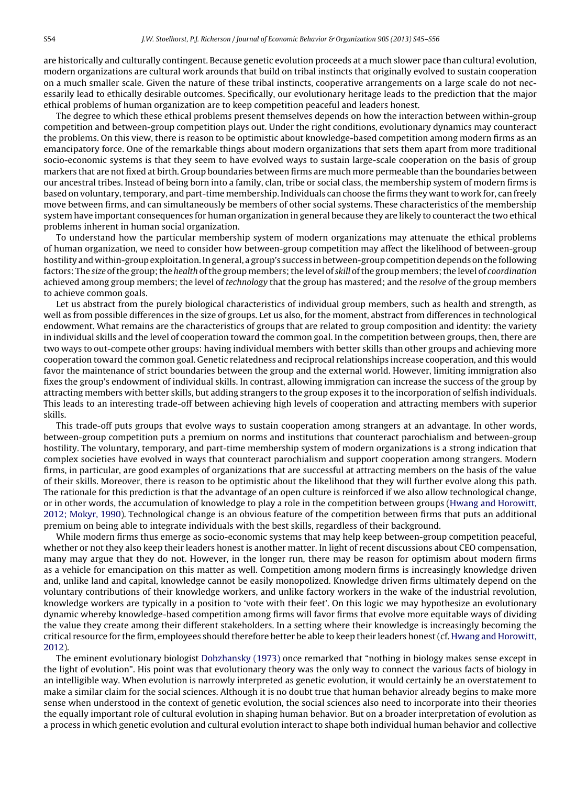are historically and culturally contingent. Because genetic evolution proceeds at a much slower pace than cultural evolution, modern organizations are cultural work arounds that build on tribal instincts that originally evolved to sustain cooperation on a much smaller scale. Given the nature of these tribal instincts, cooperative arrangements on a large scale do not necessarily lead to ethically desirable outcomes. Specifically, our evolutionary heritage leads to the prediction that the major ethical problems of human organization are to keep competition peaceful and leaders honest.

The degree to which these ethical problems present themselves depends on how the interaction between within-group competition and between-group competition plays out. Under the right conditions, evolutionary dynamics may counteract the problems. On this view, there is reason to be optimistic about knowledge-based competition among modern firms as an emancipatory force. One of the remarkable things about modern organizations that sets them apart from more traditional socio-economic systems is that they seem to have evolved ways to sustain large-scale cooperation on the basis of group markers that are not fixed at birth. Group boundaries between firms are much more permeable than the boundaries between our ancestral tribes. Instead of being born into a family, clan, tribe or social class, the membership system of modern firms is based on voluntary, temporary, and part-time membership. Individuals can choose the firms they want to work for, can freely move between firms, and can simultaneously be members of other social systems. These characteristics of the membership system have important consequences for human organization in general because they are likely to counteract the two ethical problems inherent in human social organization.

To understand how the particular membership system of modern organizations may attenuate the ethical problems of human organization, we need to consider how between-group competition may affect the likelihood of between-group hostility and within-groupexploitation.Ingeneral, a group's success inbetween-groupcompetitiondepends onthe following factors: The size of the group; the health of the group members; the level of skill of the group members; the level of coordination achieved among group members; the level of technology that the group has mastered; and the resolve of the group members to achieve common goals.

Let us abstract from the purely biological characteristics of individual group members, such as health and strength, as well as from possible differences in the size of groups. Let us also, for the moment, abstract from differences in technological endowment. What remains are the characteristics of groups that are related to group composition and identity: the variety in individual skills and the level of cooperation toward the common goal. In the competition between groups, then, there are two ways to out-compete other groups: having individual members with better skills than other groups and achieving more cooperation toward the common goal. Genetic relatedness and reciprocal relationships increase cooperation, and this would favor the maintenance of strict boundaries between the group and the external world. However, limiting immigration also fixes the group's endowment of individual skills. In contrast, allowing immigration can increase the success of the group by attracting members with better skills, but adding strangers to the group exposes it to the incorporation of selfish individuals. This leads to an interesting trade-off between achieving high levels of cooperation and attracting members with superior skills.

This trade-off puts groups that evolve ways to sustain cooperation among strangers at an advantage. In other words, between-group competition puts a premium on norms and institutions that counteract parochialism and between-group hostility. The voluntary, temporary, and part-time membership system of modern organizations is a strong indication that complex societies have evolved in ways that counteract parochialism and support cooperation among strangers. Modern firms, in particular, are good examples of organizations that are successful at attracting members on the basis of the value of their skills. Moreover, there is reason to be optimistic about the likelihood that they will further evolve along this path. The rationale for this prediction is that the advantage of an open culture is reinforced if we also allow technological change, or in other words, the accumulation of knowledge to play a role in the competition between groups (Hwang and Horowitt, 2012; Mokyr, 1990). Technological change is an obvious feature of the competition between firms that puts an additional premium on being able to integrate individuals with the best skills, regardless of their background.

While modern firms thus emerge as socio-economic systems that may help keep between-group competition peaceful, whether or not they also keep their leaders honest is another matter. In light of recent discussions about CEO compensation, many may argue that they do not. However, in the longer run, there may be reason for optimism about modern firms as a vehicle for emancipation on this matter as well. Competition among modern firms is increasingly knowledge driven and, unlike land and capital, knowledge cannot be easily monopolized. Knowledge driven firms ultimately depend on the voluntary contributions of their knowledge workers, and unlike factory workers in the wake of the industrial revolution, knowledge workers are typically in a position to 'vote with their feet'. On this logic we may hypothesize an evolutionary dynamic whereby knowledge-based competition among firms will favor firms that evolve more equitable ways of dividing the value they create among their different stakeholders. In a setting where their knowledge is increasingly becoming the critical resource for the firm, employees should therefore better be able to keep their leaders honest(cf. Hwang and Horowitt, 2012).

The eminent evolutionary biologist Dobzhansky (1973) once remarked that "nothing in biology makes sense except in the light of evolution". His point was that evolutionary theory was the only way to connect the various facts of biology in an intelligible way. When evolution is narrowly interpreted as genetic evolution, it would certainly be an overstatement to make a similar claim for the social sciences. Although it is no doubt true that human behavior already begins to make more sense when understood in the context of genetic evolution, the social sciences also need to incorporate into their theories the equally important role of cultural evolution in shaping human behavior. But on a broader interpretation of evolution as a process in which genetic evolution and cultural evolution interact to shape both individual human behavior and collective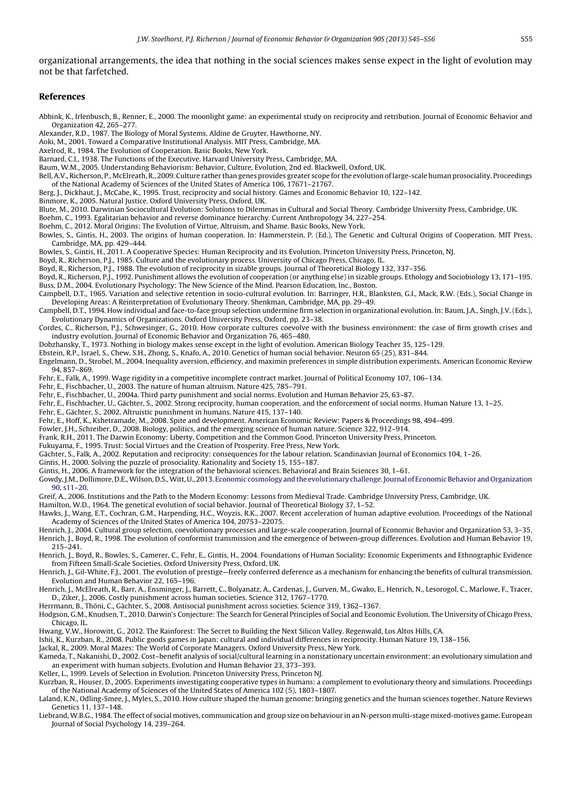organizational arrangements, the idea that nothing in the social sciences makes sense expect in the light of evolution may not be that farfetched.

#### **References**

- Abbink, K., Irlenbusch, B., Renner, E., 2000. The moonlight game: an experimental study on reciprocity and retribution. Journal of Economic Behavior and Organization 42, 265–277.
- Alexander, R.D., 1987. The Biology of Moral Systems. Aldine de Gruyter, Hawthorne, NY.
- Aoki, M., 2001. Toward a Comparative Institutional Analysis. MIT Press, Cambridge, MA.
- Axelrod, R., 1984. The Evolution of Cooperation. Basic Books, New York.
- Barnard, C.I., 1938. The Functions of the Executive. Harvard University Press, Cambridge, MA.
- Baum, W.M., 2005. Understanding Behaviorism: Behavior, Culture, Evolution, 2nd ed. Blackwell, Oxford, UK.
- Bell, A.V., Richerson, P., McElreath, R., 2009. Culture rather than genes provides greater scope for the evolution oflarge-scale human prosociality. Proceedings of the National Academy of Sciences of the United States of America 106, 17671–21767.
- Berg, J., Dickhaut, J., McCabe, K., 1995. Trust, reciprocity and social history. Games and Economic Behavior 10, 122–142.
- Binmore, K., 2005. Natural Justice. Oxford University Press, Oxford, UK.
- Blute, M., 2010. Darwinian Sociocultural Evolution: Solutions to Dilemmas in Cultural and Social Theory. Cambridge University Press, Cambridge, UK.

Boehm, C., 1993. Egalitarian behavior and reverse dominance hierarchy. Current Anthropology 34, 227–254.

Boehm, C., 2012. Moral Origins: The Evolution of Virtue, Altruism, and Shame. Basic Books, New York.

- Bowles, S., Gintis, H., 2003. The origins of human cooperation. In: Hammerstein, P. (Ed.), The Genetic and Cultural Origins of Cooperation. MIT Press, Cambridge, MA, pp. 429–444.
- Bowles, S., Gintis, H., 2011. A Cooperative Species: Human Reciprocity and its Evolution. Princeton University Press, Princeton, NJ.

Boyd, R., Richerson, P.J., 1985. Culture and the evolutionary process. University of Chicago Press, Chicago, IL.

- Boyd, R., Richerson, P.J., 1988. The evolution of reciprocity in sizable groups. Journal of Theoretical Biology 132, 337–356.
- Boyd, R., Richerson, P.J., 1992. Punishment allows the evolution of cooperation (or anything else) in sizable groups. Ethology and Sociobiology 13, 171–195. Buss, D.M., 2004. Evolutionary Psychology: The New Science of the Mind. Pearson Education, Inc., Boston.
- Campbell, D.T., 1965. Variation and selective retention in socio-cultural evolution. In: Barringer, H.R., Blanksten, G.I., Mack, R.W. (Eds.), Social Change in Developing Areas: A Reinterpretation of Evolutionary Theory. Shenkman, Cambridge, MA, pp. 29–49.
- Campbell, D.T., 1994. How individual and face-to-face group selection undermine firm selection in organizational evolution. In: Baum, J.A., Singh, J.V. (Eds.), Evolutionary Dynamics of Organizations. Oxford University Press, Oxford, pp. 23–38.
- Cordes, C., Richerson, P.J., Schwesinger, G., 2010. How corporate cultures coevolve with the business environment: the case of firm growth crises and industry evolution. Journal of Economic Behavior and Organization 76, 465–480.
- Dobzhansky, T., 1973. Nothing in biology makes sense except in the light of evolution. American Biology Teacher 35, 125–129.

Ebstein, R.P., Israel, S., Chew, S.H., Zhong, S., Knafo, A., 2010. Genetics of human social behavior. Neuron 65 (25), 831–844.

- Engelmann, D., Strobel, M., 2004. Inequality aversion, efficiency, and maximin preferences in simple distribution experiments. American Economic Review 94, 857–869.
- Fehr, E., Falk, A., 1999. Wage rigidity in a competitive incomplete contract market. Journal of Political Economy 107, 106–134.
- Fehr, E., Fischbacher, U., 2003. The nature of human altruism. Nature 425, 785–791.
- Fehr, E., Fischbacher, U., 2004a. Third party punishment and social norms. Evolution and Human Behavior 25, 63–87.
- Fehr, E., Fischbacher, U., Gächter, S., 2002. Strong reciprocity, human cooperation, and the enforcement of social norms. Human Nature 13, 1–25.
- Fehr, E., Gächter, S., 2002. Altruistic punishment in humans. Nature 415, 137–140.
- Fehr, E., Hoff, K., Kshetramade, M., 2008. Spite and development. American Economic Review: Papers & Proceedings 98, 494–499.
- Fowler, J.H., Schreiber, D., 2008. Biology, politics, and the emerging science of human nature. Science 322, 912–914.
- Frank, R.H., 2011. The Darwin Economy: Liberty, Competition and the Common Good. Princeton University Press, Princeton.

Fukuyama, F., 1995. Trust: Social Virtues and the Creation of Prosperity. Free Press, New York.

- Gächter, S., Falk, A., 2002. Reputation and reciprocity: consequences for the labour relation. Scandinavian Journal of Economics 104, 1–26.
- Gintis, H., 2000. Solving the puzzle of prosociality. Rationality and Society 15, 155–187.
- Gintis, H., 2006. A framework for the integration of the behavioral sciences. Behavioral and Brain Sciences 30, 1–61.
- Gowdy, J.M., Dollimore, D.E., Wilson, D.S., Witt, U., 2013. Economic cosmology and the evolutionary challenge. Journal of Economic Behavior and Organization 90, s11–20.
- Greif, A., 2006. Institutions and the Path to the Modern Economy: Lessons from Medieval Trade. Cambridge University Press, Cambridge, UK.
- Hamilton, W.D., 1964. The genetical evolution of social behavior. Journal of Theoretical Biology 37, 1–52.
- Hawks, J., Wang, E.T., Cochran, G.M., Harpending, H.C., Woyzis, R.K., 2007. Recent acceleration of human adaptive evolution. Proceedings of the National Academy of Sciences of the United States of America 104, 20753–22075.
- Henrich, J., 2004. Cultural group selection, coevolutionary processes and large-scale cooperation. Journal of Economic Behavior and Organization 53, 3–35. Henrich, J., Boyd, R., 1998. The evolution of conformist transmission and the emergence of between-group differences. Evolution and Human Behavior 19, 215–241.
- Henrich, J., Boyd, R., Bowles, S., Camerer, C., Fehr, E., Gintis, H., 2004. Foundations of Human Sociality: Economic Experiments and Ethnographic Evidence from Fifteen Small-Scale Societies. Oxford University Press, Oxford, UK.
- Henrich, J., Gil-White, F.J., 2001. The evolution of prestige—freely conferred deference as a mechanism for enhancing the benefits of cultural transmission. Evolution and Human Behavior 22, 165–196.
- Henrich, J., McElreath, R., Barr, A., Ensminger, J., Barrett, C., Bolyanatz, A., Cardenas, J., Gurven, M., Gwako, E., Henrich, N., Lesorogol, C., Marlowe, F., Tracer, D., Ziker, J., 2006. Costly punishment across human societies. Science 312, 1767–1770.
- Herrmann, B., Thöni, C., Gächter, S., 2008. Antisocial punishment across societies. Science 319, 1362–1367.
- Hodgson, G.M., Knudsen, T., 2010. Darwin's Conjecture: The Search for General Principles of Social and Economic Evolution. The University of Chicago Press, Chicago, IL.
- Hwang, V.W., Horowitt, G., 2012. The Rainforest: The Secret to Building the Next Silicon Valley. Regenwald, Los Altos Hills, CA.
- Ishii, K., Kurzban, R., 2008. Public goods games in Japan: cultural and individual differences in reciprocity. Human Nature 19, 138–156.
- Jackal, R., 2009. Moral Mazes: The World of Corporate Managers. Oxford University Press, New York.
- Kameda, T., Nakanishi, D., 2002. Cost–benefit analysis of social/cultural learning in a nonstationary uncertain environment: an evolutionary simulation and an experiment with human subjects. Evolution and Human Behavior 23, 373–393.
- Keller, L., 1999. Levels of Selection in Evolution. Princeton University Press, Princeton NJ.
- Kurzban, R., Houser, D., 2005. Experiments investigating cooperative types in humans: a complement to evolutionary theory and simulations. Proceedings of the National Academy of Sciences of the United States of America 102 (5), 1803–1807.
- Laland, K.N., Odling-Smee, J., Myles, S., 2010. How culture shaped the human genome: bringing genetics and the human sciences together. Nature Reviews Genetics 11, 137–148.
- Liebrand,W.B.G., 1984. The effect of social motives, communication and group size on behaviour in an N-person multi-stage mixed-motives game. European Journal of Social Psychology 14, 239–264.